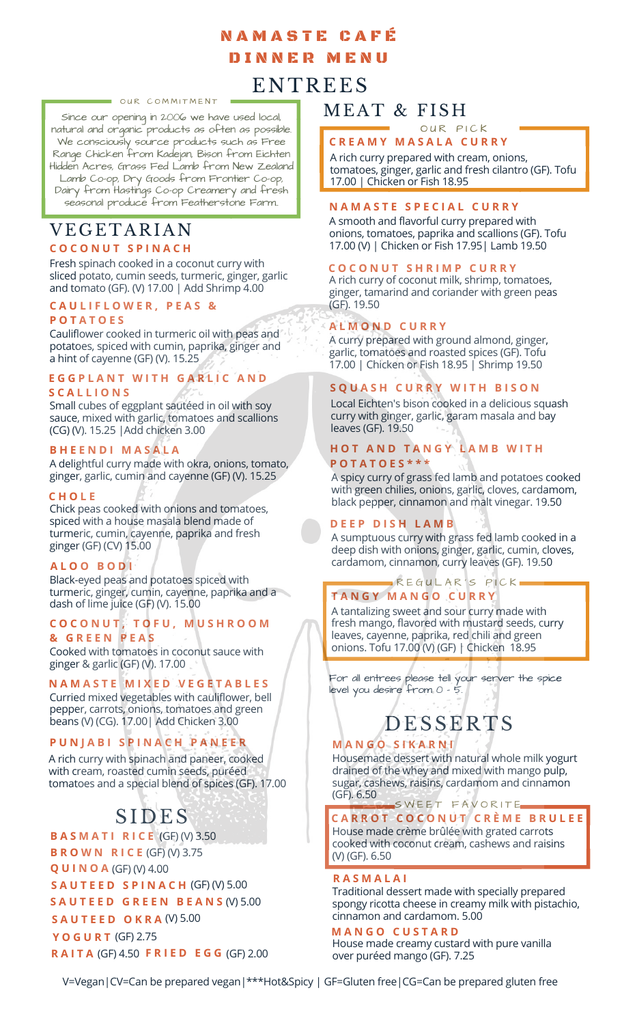## N A M A S T E C A F É D I N N E R M E N U

# **ENTREES**

#### OUR COMMITMENT

Since our opening in 2006 we have used local, natural and organic products as often as possible. We consciously source products such as Free Range Chicken from Kadejan, Bison from Eichten Hidden Acres, Grass Fed Lamb from New Zealand Lamb Co-op, Dry Goods from Frontier Co-op, Dairy from Hastings Co-op Creamery and fresh seasonal produce from Featherstone Farm..

### **C O C O N U T S P I N A C H** VEGETARIAN

Fresh spinach cooked in a coconut curry with sliced potato, cumin seeds, turmeric, ginger, garlic and tomato (GF). (V) 17.00 | Add Shrimp 4.00

#### **C A U L I F L O W E R , P E A S &**

### **P O T A T O E S**

Cauliflower cooked in turmeric oil with peas and potatoes, spiced with cumin, paprika, ginger and a hint of cayenne (GF) (V). 15.25

### **E G G P L A N T W I T H G A R L I C A N D**

### **S C A L L I O N S**

Small cubes of eggplant sautéed in oil with soy sauce, mixed with garlic, tomatoes and scallions (CG) (V). 15.25 |Add chicken 3.00

### **B H E E N D I M A S A L A**

A delightful curry made with okra, onions, tomato, ginger, garlic, cumin and cayenne (GF) (V). 15.25

### **C H O L E**

Chick peas cooked with onions and tomatoes, spiced with a house masala blend made of turmeric, cumin, cayenne, paprika and fresh ginger (GF) (CV) 15.00

### **A L O O B O D I**

Black-eyed peas and potatoes spiced with turmeric, ginger, cumin, cayenne, paprika and a dash of lime juice (GF) (V). 15.00

### **C O C O N U T , T O F U , M U S H R O O M**

Cooked with tomatoes in coconut sauce with ginger & garlic (GF) (V). 17.00 **& G R E E N P E A S**

### **N A M A S T E M I X E D V E G E T A B L E S**

Curried mixed vegetables with cauliflower, bell pepper, carrots, onions, tomatoes and green beans (V) (CG). 17.00| Add Chicken 3.00

### **P U N J A B I S P I N A C H P A N E E R**

A rich curry with spinach and paneer, cooked with cream, roasted cumin seeds, puréed tomatoes and a special blend of spices (GF). 17.00

# SIDES

**B A S M A T I R I C E** (GF) (V) 3.50 **B R O W N R I C E** (GF) (V) 3.75 **Q U I N O A** (GF) (V) 4.00

**S A U T E E D S P I N A C H** (GF) (V) 5.00

(V) 5.00 **S A U T E E D G R E E N B E A N S**

**S A U T E E D O K R A** (V) 5.00

**Y O G U R T** (GF) 2.75 **R A I T A** (GF) 4.50 **F R I E D E G G** (GF) 2.00

### MEAT & FISH

#### **C R E A M Y M A S A L A C U R R Y** OUR PICK

A rich curry prepared with cream, onions, tomatoes, ginger, garlic and fresh cilantro (GF). Tofu 17.00 | Chicken or Fish 18.95

### **N A M A S T E S P E C I A L C U R R Y**

A smooth and flavorful curry prepared with onions, tomatoes, paprika and scallions (GF). Tofu 17.00 (V) | Chicken or Fish 17.95| Lamb 19.50

### **C O C O N U T S H R I M P C U R R Y**

A rich curry of coconut milk, shrimp, tomatoes, ginger, tamarind and coriander with green peas (GF). 19.50

### **A L M O N D C U R R Y**

A curry prepared with ground almond, ginger, garlic, tomatoes and roasted spices (GF). Tofu 17.00 | Chicken or Fish 18.95 | Shrimp 19.50

### **S Q U A S H C U R R Y W I T H B I S O N**

Local Eichten's bison cooked in a delicious squash curry with ginger, garlic, garam masala and bay leaves (GF). 19.50

### **H O T A N D T A N G Y L A M B W I T H P O T A T O E S \* \* \***

A spicy curry of grass fed lamb and potatoes cooked with green chilies, onions, garlic, cloves, cardamom, black pepper, cinnamon and malt vinegar. 19.50

### **D E E P D I S H L A M B**

A sumptuous curry with grass fed lamb cooked in a deep dish with onions, ginger, garlic, cumin, cloves, cardamom, cinnamon, curry leaves (GF). 19.50

### **T A N G Y M A N G O C U R R Y** REGULAR'S PICK

A tantalizing sweet and sour curry made with fresh mango, flavored with mustard seeds, curry leaves, cayenne, paprika, red chili and green onions. Tofu 17.00 (V) (GF) | Chicken 18.95

For all entrees please tell your server the spice level you desire from 0 - 5.

# **DESSERTS**

### **M A N G O S I K A R N I**

Housemade dessert with natural whole milk yogurt drained of the whey and mixed with mango pulp, sugar, cashews, raisins, cardamom and cinnamon (GF). 6.50

### SWEET FAVORITE

**C A R R O T C O C O N U T C R È M E B R U L E E** House made crème brûlée with grated carrots cooked with coconut cream, cashews and raisins (V) (GF). 6.50

### **R A S M A L A I**

Traditional dessert made with specially prepared spongy ricotta cheese in creamy milk with pistachio, cinnamon and cardamom. 5.00

### **M A N G O C U S T A R D**

House made creamy custard with pure vanilla over puréed mango (GF). 7.25

V=Vegan|CV=Can be prepared vegan|\*\*\*Hot&Spicy | GF=Gluten free|CG=Can be prepared gluten free